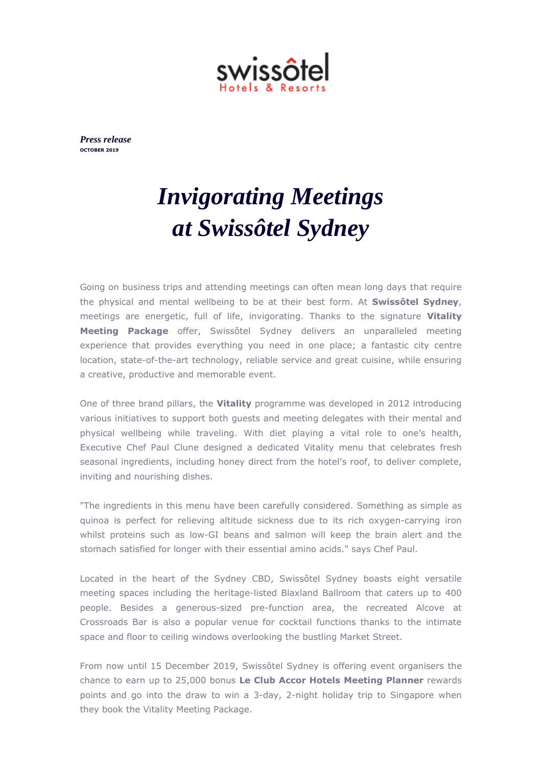

*Press release* **OCTOBER 2019**

## *Invigorating Meetings at Swissôtel Sydney*

Going on business trips and attending meetings can often mean long days that require the physical and mental wellbeing to be at their best form. At **Swissôtel Sydney**, meetings are energetic, full of life, invigorating. Thanks to the signature **Vitality Meeting Package** offer, Swissôtel Sydney delivers an unparalleled meeting experience that provides everything you need in one place; a fantastic city centre location, state-of-the-art technology, reliable service and great cuisine, while ensuring a creative, productive and memorable event.

One of three brand pillars, the **Vitality** programme was developed in 2012 introducing various initiatives to support both guests and meeting delegates with their mental and physical wellbeing while traveling. With diet playing a vital role to one's health, Executive Chef Paul Clune designed a dedicated Vitality menu that celebrates fresh seasonal ingredients, including honey direct from the hotel's roof, to deliver complete, inviting and nourishing dishes.

"The ingredients in this menu have been carefully considered. Something as simple as quinoa is perfect for relieving altitude sickness due to its rich oxygen-carrying iron whilst proteins such as low-GI beans and salmon will keep the brain alert and the stomach satisfied for longer with their essential amino acids." says Chef Paul.

Located in the heart of the Sydney CBD, Swissôtel Sydney boasts eight versatile meeting spaces including the heritage-listed Blaxland Ballroom that caters up to 400 people. Besides a generous-sized pre-function area, the recreated Alcove at Crossroads Bar is also a popular venue for cocktail functions thanks to the intimate space and floor to ceiling windows overlooking the bustling Market Street.

From now until 15 December 2019, Swissôtel Sydney is offering event organisers the chance to earn up to 25,000 bonus **Le Club Accor Hotels Meeting Planner** rewards points and go into the draw to win a 3-day, 2-night holiday trip to Singapore when they book the Vitality Meeting Package.